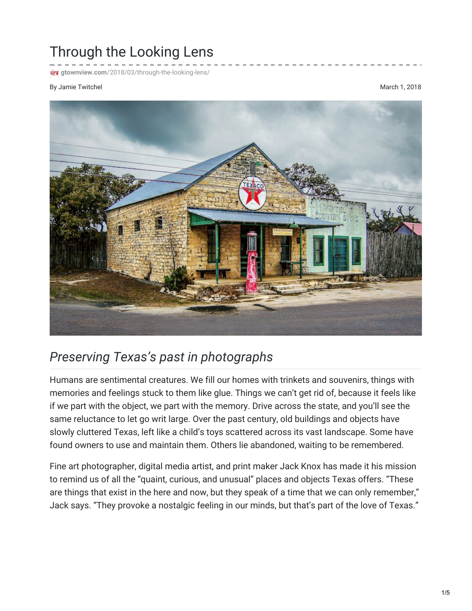## Through the Looking Lens

**gtownview.com**[/2018/03/through-the-looking-lens/](http://gtownview.com/2018/03/through-the-looking-lens/)

## By Jamie Twitchel **March 1, 2018** and the United States of the March 1, 2018 and the March 1, 2018



## *Preserving Texas's past in photographs*

Humans are sentimental creatures. We fill our homes with trinkets and souvenirs, things with memories and feelings stuck to them like glue. Things we can't get rid of, because it feels like if we part with the object, we part with the memory. Drive across the state, and you'll see the same reluctance to let go writ large. Over the past century, old buildings and objects have slowly cluttered Texas, left like a child's toys scattered across its vast landscape. Some have found owners to use and maintain them. Others lie abandoned, waiting to be remembered.

Fine art photographer, digital media artist, and print maker Jack Knox has made it his mission to remind us of all the "quaint, curious, and unusual" places and objects Texas offers. "These are things that exist in the here and now, but they speak of a time that we can only remember," Jack says. "They provoke a nostalgic feeling in our minds, but that's part of the love of Texas."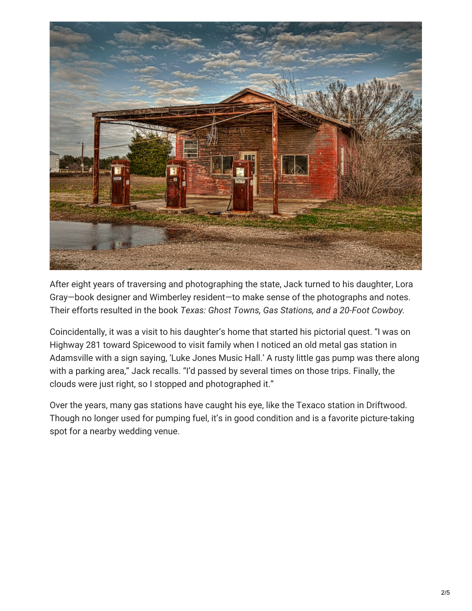

After eight years of traversing and photographing the state, Jack turned to his daughter, Lora Gray—book designer and Wimberley resident—to make sense of the photographs and notes. Their efforts resulted in the book *Texas: Ghost Towns, Gas Stations, and a 20-Foot Cowboy.*

Coincidentally, it was a visit to his daughter's home that started his pictorial quest. "I was on Highway 281 toward Spicewood to visit family when I noticed an old metal gas station in Adamsville with a sign saying, 'Luke Jones Music Hall.' A rusty little gas pump was there along with a parking area," Jack recalls. "I'd passed by several times on those trips. Finally, the clouds were just right, so I stopped and photographed it."

Over the years, many gas stations have caught his eye, like the Texaco station in Driftwood. Though no longer used for pumping fuel, it's in good condition and is a favorite picture-taking spot for a nearby wedding venue.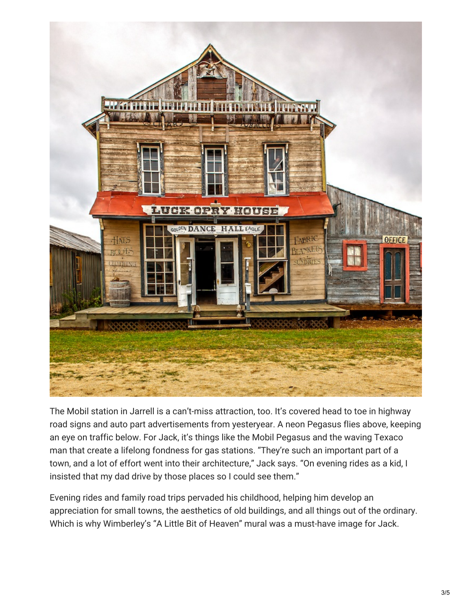

The Mobil station in Jarrell is a can't-miss attraction, too. It's covered head to toe in highway road signs and auto part advertisements from yesteryear. A neon Pegasus flies above, keeping an eye on traffic below. For Jack, it's things like the Mobil Pegasus and the waving Texaco man that create a lifelong fondness for gas stations. "They're such an important part of a town, and a lot of effort went into their architecture," Jack says. "On evening rides as a kid, I insisted that my dad drive by those places so I could see them."

Evening rides and family road trips pervaded his childhood, helping him develop an appreciation for small towns, the aesthetics of old buildings, and all things out of the ordinary. Which is why Wimberley's "A Little Bit of Heaven" mural was a must-have image for Jack.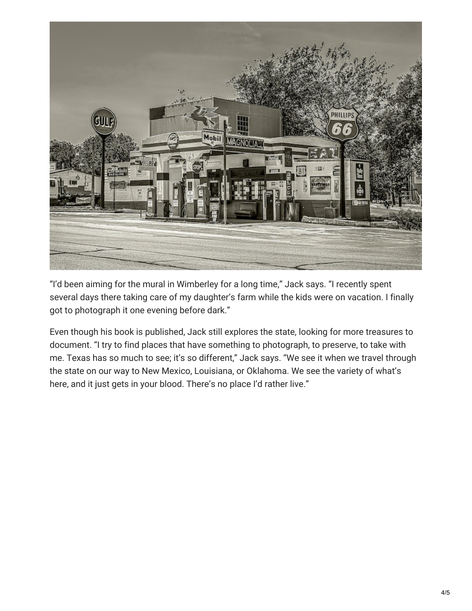

"I'd been aiming for the mural in Wimberley for a long time," Jack says. "I recently spent several days there taking care of my daughter's farm while the kids were on vacation. I finally got to photograph it one evening before dark."

Even though his book is published, Jack still explores the state, looking for more treasures to document. "I try to find places that have something to photograph, to preserve, to take with me. Texas has so much to see; it's so different," Jack says. "We see it when we travel through the state on our way to New Mexico, Louisiana, or Oklahoma. We see the variety of what's here, and it just gets in your blood. There's no place I'd rather live."